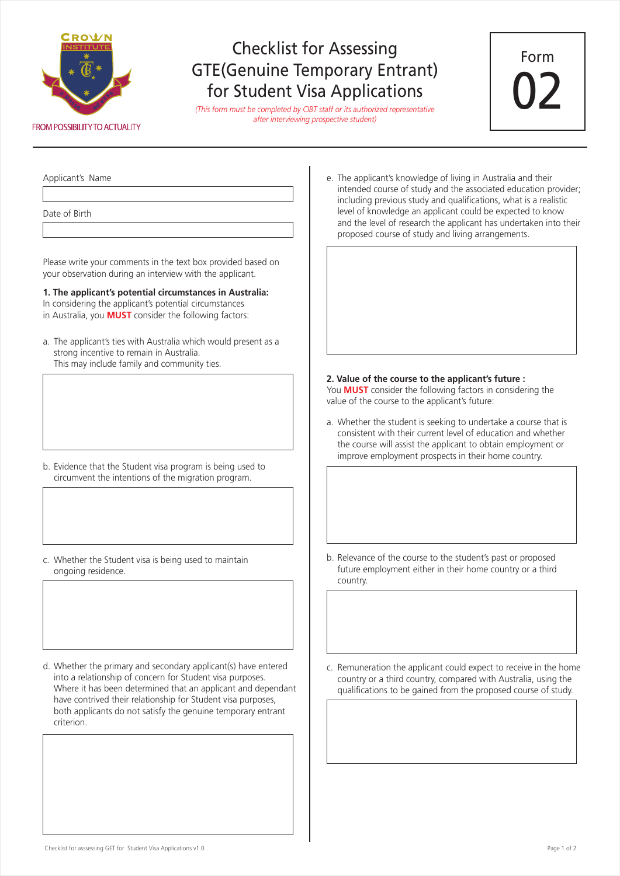

## Checklist for Assessing GTE(Genuine Temporary Entrant) for Student Visa Applications

*(This form must be completed by CIBT staff or its authorized representative after interviewing prospective student)*



Applicant's Name

Date of Birth

Please write your comments in the text box provided based on your observation during an interview with the applicant.

**1. The applicant's potential circumstances in Australia:**  In considering the applicant's potential circumstances in Australia, you **MUST** consider the following factors:

a. The applicant's ties with Australia which would present as a strong incentive to remain in Australia. This may include family and community ties.

- b. Evidence that the Student visa program is being used to circumvent the intentions of the migration program.
- c. Whether the Student visa is being used to maintain ongoing residence.
- d. Whether the primary and secondary applicant(s) have entered into a relationship of concern for Student visa purposes. Where it has been determined that an applicant and dependant have contrived their relationship for Student visa purposes, both applicants do not satisfy the genuine temporary entrant criterion.

e. The applicant's knowledge of living in Australia and their intended course of study and the associated education provider; including previous study and qualifications, what is a realistic level of knowledge an applicant could be expected to know and the level of research the applicant has undertaken into their proposed course of study and living arrangements.

## **2. Value of the course to the applicant's future :**

You **MUST** consider the following factors in considering the value of the course to the applicant's future:

a. Whether the student is seeking to undertake a course that is consistent with their current level of education and whether the course will assist the applicant to obtain employment or improve employment prospects in their home country.

- b. Relevance of the course to the student's past or proposed future employment either in their home country or a third country.
- c. Remuneration the applicant could expect to receive in the home country or a third country, compared with Australia, using the qualifications to be gained from the proposed course of study.